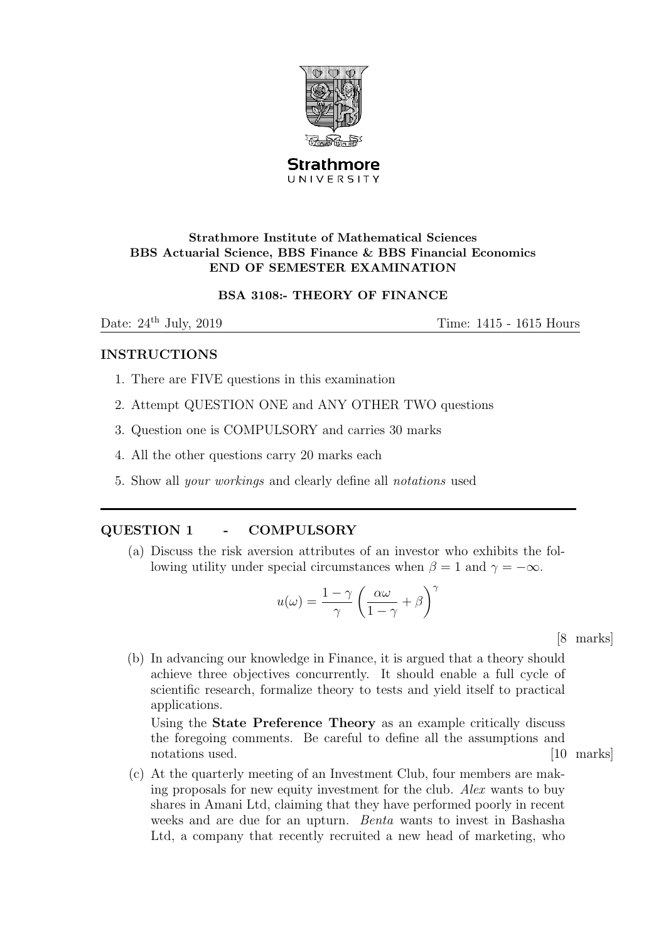

**Strathmore** UNIVERSITY

# Strathmore Institute of Mathematical Sciences BBS Actuarial Science, BBS Finance & BBS Financial Economics END OF SEMESTER EXAMINATION

# BSA 3108:- THEORY OF FINANCE

Date:  $24<sup>th</sup>$  July,  $2019$  Time:  $1415 - 1615$  Hours

# INSTRUCTIONS

- 1. There are FIVE questions in this examination
- 2. Attempt QUESTION ONE and ANY OTHER TWO questions
- 3. Question one is COMPULSORY and carries 30 marks
- 4. All the other questions carry 20 marks each
- 5. Show all your workings and clearly define all notations used

# QUESTION 1 - COMPULSORY

(a) Discuss the risk aversion attributes of an investor who exhibits the following utility under special circumstances when  $\beta = 1$  and  $\gamma = -\infty$ .

$$
u(\omega) = \frac{1-\gamma}{\gamma} \left( \frac{\alpha \omega}{1-\gamma} + \beta \right)^{\gamma}
$$

[8 marks]

(b) In advancing our knowledge in Finance, it is argued that a theory should achieve three objectives concurrently. It should enable a full cycle of scientific research, formalize theory to tests and yield itself to practical applications.

Using the State Preference Theory as an example critically discuss the foregoing comments. Be careful to define all the assumptions and notations used. [10 marks]  $\qquad$  [10 marks]

(c) At the quarterly meeting of an Investment Club, four members are making proposals for new equity investment for the club. Alex wants to buy shares in Amani Ltd, claiming that they have performed poorly in recent weeks and are due for an upturn. *Benta* wants to invest in Bashasha Ltd, a company that recently recruited a new head of marketing, who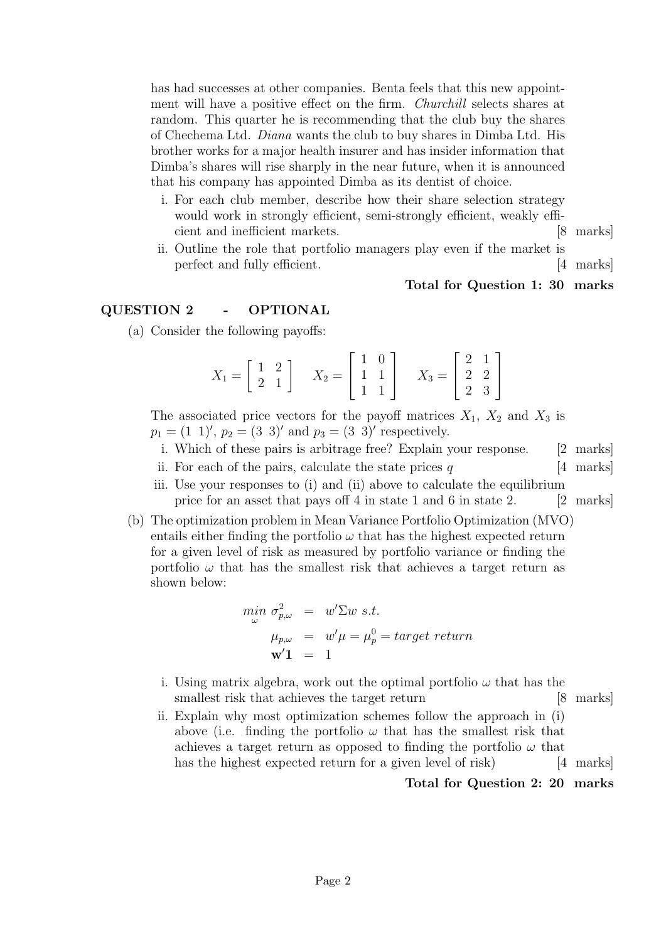has had successes at other companies. Benta feels that this new appointment will have a positive effect on the firm. Churchill selects shares at random. This quarter he is recommending that the club buy the shares of Chechema Ltd. Diana wants the club to buy shares in Dimba Ltd. His brother works for a major health insurer and has insider information that Dimba's shares will rise sharply in the near future, when it is announced that his company has appointed Dimba as its dentist of choice.

- i. For each club member, describe how their share selection strategy would work in strongly efficient, semi-strongly efficient, weakly efficient and inefficient markets. [8 marks]
- ii. Outline the role that portfolio managers play even if the market is perfect and fully efficient. [4 marks]

### Total for Question 1: 30 marks

# QUESTION 2 - OPTIONAL

(a) Consider the following payoffs:

$$
X_1 = \begin{bmatrix} 1 & 2 \\ 2 & 1 \end{bmatrix} \quad X_2 = \begin{bmatrix} 1 & 0 \\ 1 & 1 \\ 1 & 1 \end{bmatrix} \quad X_3 = \begin{bmatrix} 2 & 1 \\ 2 & 2 \\ 2 & 3 \end{bmatrix}
$$

The associated price vectors for the payoff matrices  $X_1$ ,  $X_2$  and  $X_3$  is  $p_1 = (1\ 1)$ ,  $p_2 = (3\ 3)$  and  $p_3 = (3\ 3)$  respectively.

- i. Which of these pairs is arbitrage free? Explain your response. [2 marks]
- ii. For each of the pairs, calculate the state prices  $q \qquad \qquad [4 \text{ marks}]$
- iii. Use your responses to (i) and (ii) above to calculate the equilibrium price for an asset that pays off 4 in state 1 and 6 in state 2. [2 marks]
- (b) The optimization problem in Mean Variance Portfolio Optimization (MVO) entails either finding the portfolio  $\omega$  that has the highest expected return for a given level of risk as measured by portfolio variance or finding the portfolio  $\omega$  that has the smallest risk that achieves a target return as shown below:

$$
\begin{array}{rcl}\n\min_{\omega} \sigma_{p,\omega}^2 & = & w' \Sigma w \, \text{s.t.} \\
\mu_{p,\omega} & = & w' \mu = \mu_p^0 = \text{target} \, \text{return} \\
\mathbf{w'} \mathbf{1} & = & 1\n\end{array}
$$

- i. Using matrix algebra, work out the optimal portfolio  $\omega$  that has the smallest risk that achieves the target return [8 marks]
- ii. Explain why most optimization schemes follow the approach in (i) above (i.e. finding the portfolio  $\omega$  that has the smallest risk that achieves a target return as opposed to finding the portfolio  $\omega$  that has the highest expected return for a given level of risk) [4 marks]

### Total for Question 2: 20 marks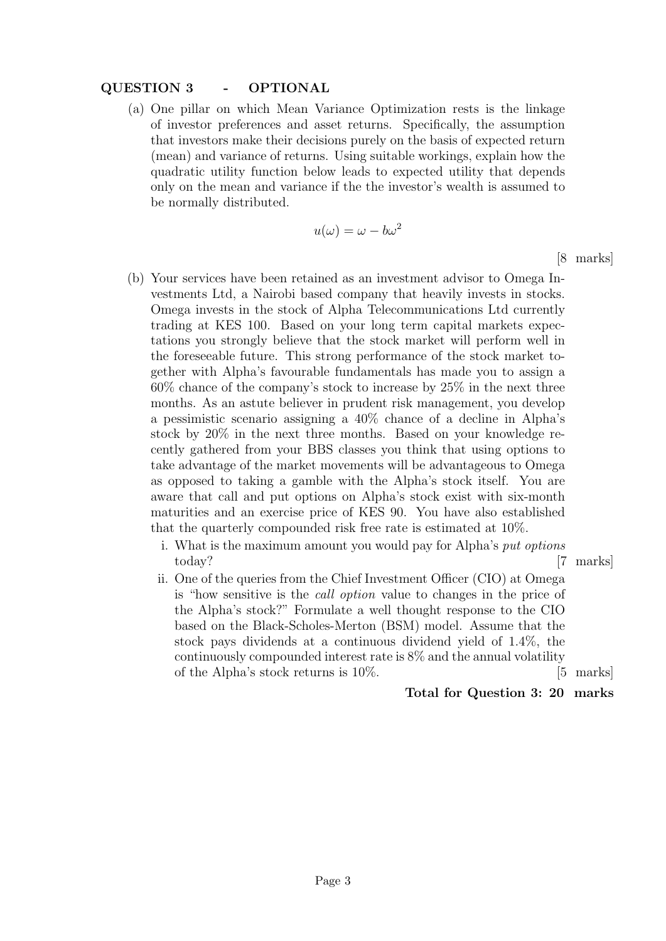# QUESTION 3 - OPTIONAL

(a) One pillar on which Mean Variance Optimization rests is the linkage of investor preferences and asset returns. Specifically, the assumption that investors make their decisions purely on the basis of expected return (mean) and variance of returns. Using suitable workings, explain how the quadratic utility function below leads to expected utility that depends only on the mean and variance if the the investor's wealth is assumed to be normally distributed.

$$
u(\omega) = \omega - b\omega^2
$$

[8 marks]

- (b) Your services have been retained as an investment advisor to Omega Investments Ltd, a Nairobi based company that heavily invests in stocks. Omega invests in the stock of Alpha Telecommunications Ltd currently trading at KES 100. Based on your long term capital markets expectations you strongly believe that the stock market will perform well in the foreseeable future. This strong performance of the stock market together with Alpha's favourable fundamentals has made you to assign a 60% chance of the company's stock to increase by 25% in the next three months. As an astute believer in prudent risk management, you develop a pessimistic scenario assigning a 40% chance of a decline in Alpha's stock by 20% in the next three months. Based on your knowledge recently gathered from your BBS classes you think that using options to take advantage of the market movements will be advantageous to Omega as opposed to taking a gamble with the Alpha's stock itself. You are aware that call and put options on Alpha's stock exist with six-month maturities and an exercise price of KES 90. You have also established that the quarterly compounded risk free rate is estimated at 10%.
	- i. What is the maximum amount you would pay for Alpha's put options today? [7 marks]
	- ii. One of the queries from the Chief Investment Officer (CIO) at Omega is "how sensitive is the call option value to changes in the price of the Alpha's stock?" Formulate a well thought response to the CIO based on the Black-Scholes-Merton (BSM) model. Assume that the stock pays dividends at a continuous dividend yield of 1.4%, the continuously compounded interest rate is 8% and the annual volatility of the Alpha's stock returns is 10%. [5 marks]

Total for Question 3: 20 marks